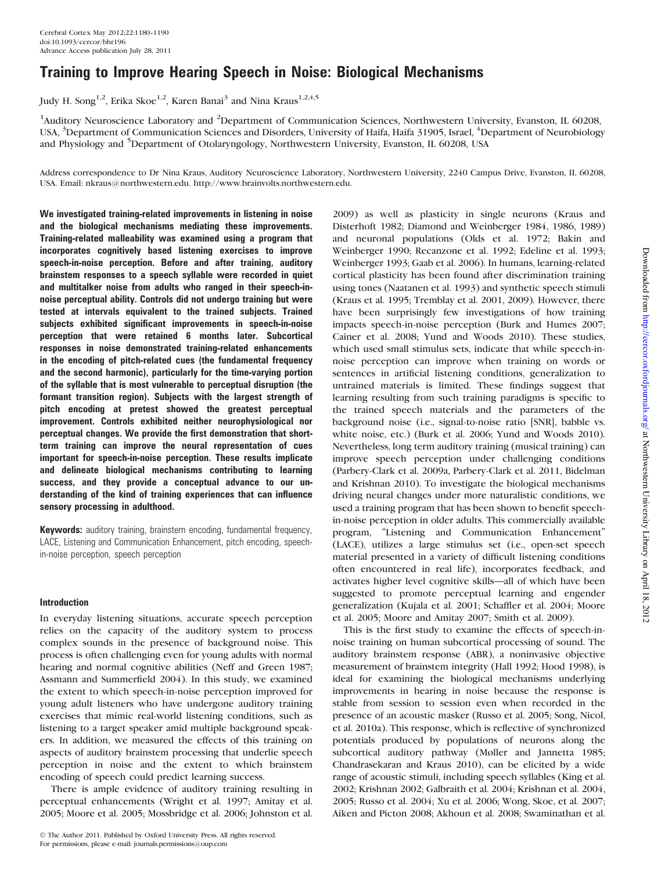# Training to Improve Hearing Speech in Noise: Biological Mechanisms

Judy H. Song<sup>1,2</sup>, Erika Skoe<sup>1,2</sup>, Karen Banai<sup>3</sup> and Nina Kraus<sup>1,2,4,5</sup>

<sup>1</sup>Auditory Neuroscience Laboratory and <sup>2</sup>Department of Communication Sciences, Northwestern University, Evanston, IL 60208, USA, <sup>3</sup>Department of Communication Sciences and Disorders, University of Haifa, Haifa 31905, Israel, <sup>4</sup>Department of Neurobiology and Physiology and <sup>5</sup>Department of Otolaryngology, Northwestern University, Evanston, IL 60208, USA

Address correspondence to Dr Nina Kraus, Auditory Neuroscience Laboratory, Northwestern University, 2240 Campus Drive, Evanston, IL 60208, USA. Email: nkraus@northwestern.edu. http://www.brainvolts.northwestern.edu.

We investigated training-related improvements in listening in noise and the biological mechanisms mediating these improvements. Training-related malleability was examined using a program that incorporates cognitively based listening exercises to improve speech-in-noise perception. Before and after training, auditory brainstem responses to a speech syllable were recorded in quiet and multitalker noise from adults who ranged in their speech-innoise perceptual ability. Controls did not undergo training but were tested at intervals equivalent to the trained subjects. Trained subjects exhibited significant improvements in speech-in-noise perception that were retained 6 months later. Subcortical responses in noise demonstrated training-related enhancements in the encoding of pitch-related cues (the fundamental frequency and the second harmonic), particularly for the time-varying portion of the syllable that is most vulnerable to perceptual disruption (the formant transition region). Subjects with the largest strength of pitch encoding at pretest showed the greatest perceptual improvement. Controls exhibited neither neurophysiological nor perceptual changes. We provide the first demonstration that shortterm training can improve the neural representation of cues important for speech-in-noise perception. These results implicate and delineate biological mechanisms contributing to learning success, and they provide a conceptual advance to our understanding of the kind of training experiences that can influence sensory processing in adulthood.

Keywords: auditory training, brainstem encoding, fundamental frequency, LACE, Listening and Communication Enhancement, pitch encoding, speechin-noise perception, speech perception

## Introduction

In everyday listening situations, accurate speech perception relies on the capacity of the auditory system to process complex sounds in the presence of background noise. This process is often challenging even for young adults with normal hearing and normal cognitive abilities (Neff and Green 1987; Assmann and Summerfield 2004). In this study, we examined the extent to which speech-in-noise perception improved for young adult listeners who have undergone auditory training exercises that mimic real-world listening conditions, such as listening to a target speaker amid multiple background speakers. In addition, we measured the effects of this training on aspects of auditory brainstem processing that underlie speech perception in noise and the extent to which brainstem encoding of speech could predict learning success.

There is ample evidence of auditory training resulting in perceptual enhancements (Wright et al. 1997; Amitay et al. 2005; Moore et al. 2005; Mossbridge et al. 2006; Johnston et al.

 $©$  The Author 2011. Published by Oxford University Press. All rights reserved. For permissions, please e-mail: journals.permissions@oup.com

2009) as well as plasticity in single neurons (Kraus and Disterhoft 1982; Diamond and Weinberger 1984, 1986, 1989) and neuronal populations (Olds et al. 1972; Bakin and Weinberger 1990; Recanzone et al. 1992; Edeline et al. 1993; Weinberger 1993; Gaab et al. 2006). In humans, learning-related cortical plasticity has been found after discrimination training using tones (Naatanen et al. 1993) and synthetic speech stimuli (Kraus et al. 1995; Tremblay et al. 2001, 2009). However, there have been surprisingly few investigations of how training impacts speech-in-noise perception (Burk and Humes 2007; Cainer et al. 2008; Yund and Woods 2010). These studies, which used small stimulus sets, indicate that while speech-innoise perception can improve when training on words or sentences in artificial listening conditions, generalization to untrained materials is limited. These findings suggest that learning resulting from such training paradigms is specific to the trained speech materials and the parameters of the background noise (i.e., signal-to-noise ratio [SNR], babble vs. white noise, etc.) (Burk et al. 2006; Yund and Woods 2010). Nevertheless, long term auditory training (musical training) can improve speech perception under challenging conditions (Parbery-Clark et al. 2009a, Parbery-Clark et al. 2011, Bidelman and Krishnan 2010). To investigate the biological mechanisms driving neural changes under more naturalistic conditions, we used a training program that has been shown to benefit speechin-noise perception in older adults. This commercially available program, ''Listening and Communication Enhancement'' (LACE), utilizes a large stimulus set (i.e., open-set speech material presented in a variety of difficult listening conditions often encountered in real life), incorporates feedback, and activates higher level cognitive skills—all of which have been suggested to promote perceptual learning and engender generalization (Kujala et al. 2001; Schaffler et al. 2004; Moore et al. 2005; Moore and Amitay 2007; Smith et al. 2009).

This is the first study to examine the effects of speech-innoise training on human subcortical processing of sound. The auditory brainstem response (ABR), a noninvasive objective measurement of brainstem integrity (Hall 1992; Hood 1998), is ideal for examining the biological mechanisms underlying improvements in hearing in noise because the response is stable from session to session even when recorded in the presence of an acoustic masker (Russo et al. 2005; Song, Nicol, et al. 2010a). This response, which is reflective of synchronized potentials produced by populations of neurons along the subcortical auditory pathway (Møller and Jannetta 1985; Chandrasekaran and Kraus 2010), can be elicited by a wide range of acoustic stimuli, including speech syllables (King et al. 2002; Krishnan 2002; Galbraith et al. 2004; Krishnan et al. 2004, 2005; Russo et al. 2004; Xu et al. 2006; Wong, Skoe, et al. 2007; Aiken and Picton 2008; Akhoun et al. 2008; Swaminathan et al.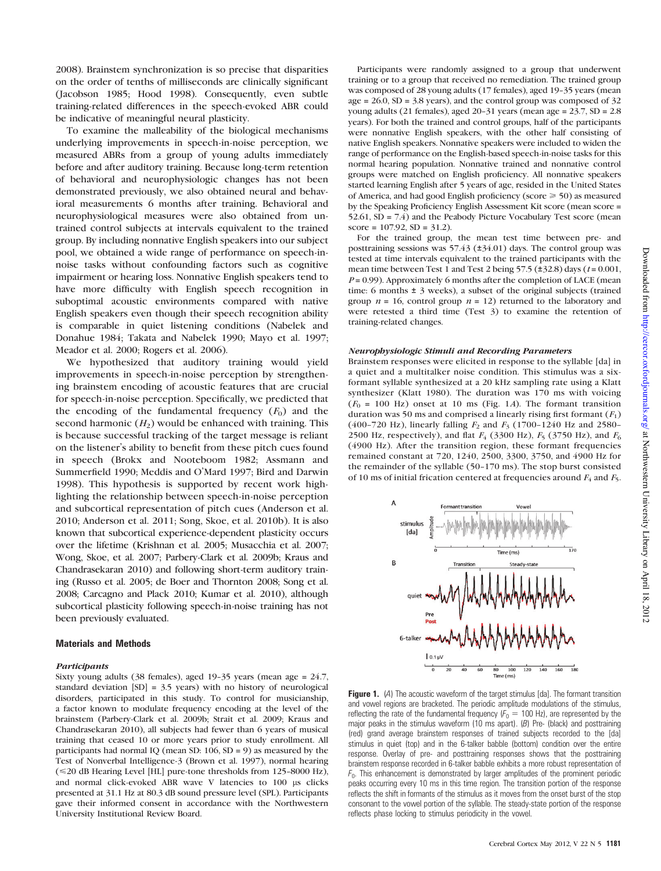2008). Brainstem synchronization is so precise that disparities on the order of tenths of milliseconds are clinically significant (Jacobson 1985; Hood 1998). Consequently, even subtle training-related differences in the speech-evoked ABR could be indicative of meaningful neural plasticity.

To examine the malleability of the biological mechanisms underlying improvements in speech-in-noise perception, we measured ABRs from a group of young adults immediately before and after auditory training. Because long-term retention of behavioral and neurophysiologic changes has not been demonstrated previously, we also obtained neural and behavioral measurements 6 months after training. Behavioral and neurophysiological measures were also obtained from untrained control subjects at intervals equivalent to the trained group. By including nonnative English speakers into our subject pool, we obtained a wide range of performance on speech-innoise tasks without confounding factors such as cognitive impairment or hearing loss. Nonnative English speakers tend to have more difficulty with English speech recognition in suboptimal acoustic environments compared with native English speakers even though their speech recognition ability is comparable in quiet listening conditions (Nabelek and Donahue 1984; Takata and Nabelek 1990; Mayo et al. 1997; Meador et al. 2000; Rogers et al. 2006).

We hypothesized that auditory training would yield improvements in speech-in-noise perception by strengthening brainstem encoding of acoustic features that are crucial for speech-in-noise perception. Specifically, we predicted that the encoding of the fundamental frequency  $(F_0)$  and the second harmonic  $(H_2)$  would be enhanced with training. This is because successful tracking of the target message is reliant on the listener's ability to benefit from these pitch cues found in speech (Brokx and Nooteboom 1982; Assmann and Summerfield 1990; Meddis and O'Mard 1997; Bird and Darwin 1998). This hypothesis is supported by recent work highlighting the relationship between speech-in-noise perception and subcortical representation of pitch cues (Anderson et al. 2010; Anderson et al. 2011; Song, Skoe, et al. 2010b). It is also known that subcortical experience-dependent plasticity occurs over the lifetime (Krishnan et al. 2005; Musacchia et al. 2007; Wong, Skoe, et al. 2007; Parbery-Clark et al. 2009b; Kraus and Chandrasekaran 2010) and following short-term auditory training (Russo et al. 2005; de Boer and Thornton 2008; Song et al. 2008; Carcagno and Plack 2010; Kumar et al. 2010), although subcortical plasticity following speech-in-noise training has not been previously evaluated.

## Materials and Methods

#### **Participants**

Sixty young adults (38 females), aged 19-35 years (mean age  $= 24.7$ , standard deviation  $[SD] = 3.5$  years) with no history of neurological disorders, participated in this study. To control for musicianship, a factor known to modulate frequency encoding at the level of the brainstem (Parbery-Clark et al. 2009b; Strait et al. 2009; Kraus and Chandrasekaran 2010), all subjects had fewer than 6 years of musical training that ceased 10 or more years prior to study enrollment. All participants had normal IQ (mean SD:  $106$ , SD = 9) as measured by the Test of Nonverbal Intelligence-3 (Brown et al. 1997), normal hearing  $(\leq 20$  dB Hearing Level [HL] pure-tone thresholds from 125-8000 Hz), and normal click-evoked ABR wave V latencies to 100 µs clicks presented at 31.1 Hz at 80.3 dB sound pressure level (SPL). Participants gave their informed consent in accordance with the Northwestern University Institutional Review Board.

Participants were randomly assigned to a group that underwent training or to a group that received no remediation. The trained group was composed of 28 young adults (17 females), aged 19-35 years (mean age =  $26.0$ ,  $SD = 3.8$  years), and the control group was composed of  $32$ young adults (21 females), aged 20-31 years (mean age =  $23.7$ , SD =  $2.8$ ) years). For both the trained and control groups, half of the participants were nonnative English speakers, with the other half consisting of native English speakers. Nonnative speakers were included to widen the range of performance on the English-based speech-in-noise tasks for this normal hearing population. Nonnative trained and nonnative control groups were matched on English proficiency. All nonnative speakers started learning English after 5 years of age, resided in the United States of America, and had good English proficiency (score  $\geq 50$ ) as measured by the Speaking Proficiency English Assessment Kit score (mean score = 52.61, SD = 7.4) and the Peabody Picture Vocabulary Test score (mean  $score = 107.92$ ,  $SD = 31.2$ ).

For the trained group, the mean test time between pre- and posttraining sessions was  $57.43$  ( $\pm 34.01$ ) days. The control group was tested at time intervals equivalent to the trained participants with the mean time between Test 1 and Test 2 being  $57.5$  ( $\pm$ 32.8) days ( $t$  = 0.001,  $P = 0.99$ ). Approximately 6 months after the completion of LACE (mean time: 6 months  $\pm$  3 weeks), a subset of the original subjects (trained group  $n = 16$ , control group  $n = 12$ ) returned to the laboratory and were retested a third time (Test 3) to examine the retention of training-related changes.

## Neurophysiologic Stimuli and Recording Parameters

Brainstem responses were elicited in response to the syllable [da] in a quiet and a multitalker noise condition. This stimulus was a sixformant syllable synthesized at a 20 kHz sampling rate using a Klatt synthesizer (Klatt 1980). The duration was 170 ms with voicing  $(F<sub>0</sub> = 100 Hz)$  onset at 10 ms (Fig. 1A). The formant transition duration was 50 ms and comprised a linearly rising first formant  $(F_1)$ (400-720 Hz), linearly falling  $F_2$  and  $F_3$  (1700-1240 Hz and 2580-2500 Hz, respectively), and flat  $F_4$  (3300 Hz),  $F_5$  (3750 Hz), and  $F_6$ (4900 Hz). After the transition region, these formant frequencies remained constant at 720, 1240, 2500, 3300, 3750, and 4900 Hz for the remainder of the syllable  $(50-170 \text{ ms})$ . The stop burst consisted of 10 ms of initial frication centered at frequencies around  $F_4$  and  $F_5$ .



Figure 1. (A) The acoustic waveform of the target stimulus [da]. The formant transition and vowel regions are bracketed. The periodic amplitude modulations of the stimulus, reflecting the rate of the fundamental frequency  $(F_0 = 100 \text{ Hz})$ , are represented by the major peaks in the stimulus waveform (10 ms apart). (B) Pre- (black) and posttraining (red) grand average brainstem responses of trained subjects recorded to the [da] stimulus in quiet (top) and in the 6-talker babble (bottom) condition over the entire response. Overlay of pre- and posttraining responses shows that the posttraining brainstem response recorded in 6-talker babble exhibits a more robust representation of  $F<sub>0</sub>$ . This enhancement is demonstrated by larger amplitudes of the prominent periodic peaks occurring every 10 ms in this time region. The transition portion of the response reflects the shift in formants of the stimulus as it moves from the onset burst of the stop consonant to the vowel portion of the syllable. The steady-state portion of the response reflects phase locking to stimulus periodicity in the vowel.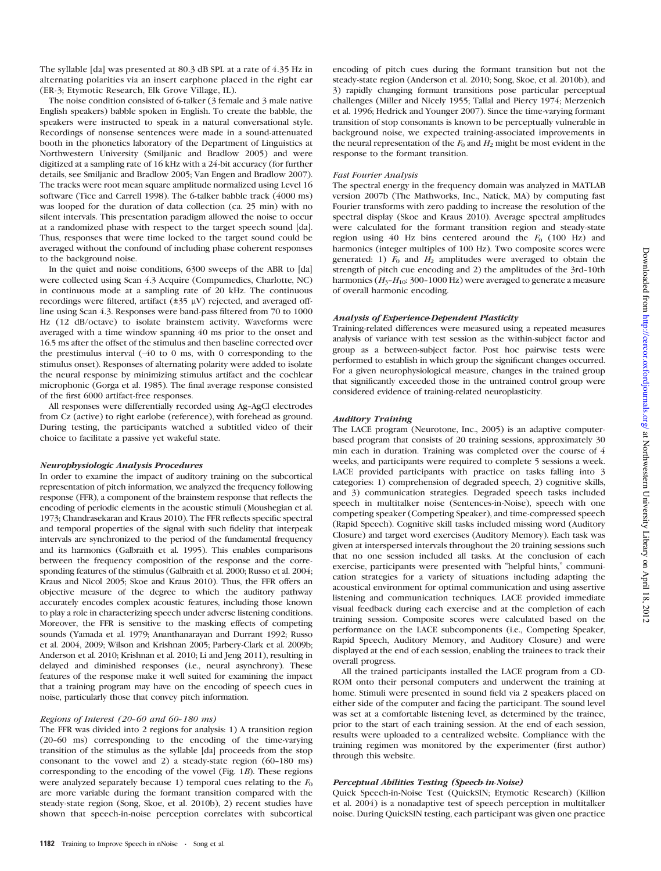The syllable [da] was presented at 80.3 dB SPL at a rate of 4.35 Hz in alternating polarities via an insert earphone placed in the right ear (ER-3; Etymotic Research, Elk Grove Village, IL).

The noise condition consisted of 6-talker (3 female and 3 male native English speakers) babble spoken in English. To create the babble, the speakers were instructed to speak in a natural conversational style. Recordings of nonsense sentences were made in a sound-attenuated booth in the phonetics laboratory of the Department of Linguistics at Northwestern University (Smiljanic and Bradlow 2005) and were digitized at a sampling rate of 16 kHz with a 24-bit accuracy (for further details, see Smiljanic and Bradlow 2005; Van Engen and Bradlow 2007). The tracks were root mean square amplitude normalized using Level 16 software (Tice and Carrell 1998). The 6-talker babble track (4000 ms) was looped for the duration of data collection (ca. 25 min) with no silent intervals. This presentation paradigm allowed the noise to occur at a randomized phase with respect to the target speech sound [da]. Thus, responses that were time locked to the target sound could be averaged without the confound of including phase coherent responses to the background noise.

In the quiet and noise conditions, 6300 sweeps of the ABR to [da] were collected using Scan 4.3 Acquire (Compumedics, Charlotte, NC) in continuous mode at a sampling rate of 20 kHz. The continuous recordings were filtered, artifact  $(\pm 35 \mu V)$  rejected, and averaged offline using Scan 4.3. Responses were band-pass filtered from 70 to 1000 Hz (12 dB/octave) to isolate brainstem activity. Waveforms were averaged with a time window spanning 40 ms prior to the onset and 16.5 ms after the offset of the stimulus and then baseline corrected over the prestimulus interval (–40 to 0 ms, with 0 corresponding to the stimulus onset). Responses of alternating polarity were added to isolate the neural response by minimizing stimulus artifact and the cochlear microphonic (Gorga et al. 1985). The final average response consisted of the first 6000 artifact-free responses.

All responses were differentially recorded using Ag--AgCl electrodes from Cz (active) to right earlobe (reference), with forehead as ground. During testing, the participants watched a subtitled video of their choice to facilitate a passive yet wakeful state.

#### Neurophysiologic Analysis Procedures

In order to examine the impact of auditory training on the subcortical representation of pitch information, we analyzed the frequency following response (FFR), a component of the brainstem response that reflects the encoding of periodic elements in the acoustic stimuli (Moushegian et al. 1973; Chandrasekaran and Kraus 2010). The FFR reflects specific spectral and temporal properties of the signal with such fidelity that interpeak intervals are synchronized to the period of the fundamental frequency and its harmonics (Galbraith et al. 1995). This enables comparisons between the frequency composition of the response and the corresponding features of the stimulus (Galbraith et al. 2000; Russo et al. 2004; Kraus and Nicol 2005; Skoe and Kraus 2010). Thus, the FFR offers an objective measure of the degree to which the auditory pathway accurately encodes complex acoustic features, including those known to play a role in characterizing speech under adverse listening conditions. Moreover, the FFR is sensitive to the masking effects of competing sounds (Yamada et al. 1979; Ananthanarayan and Durrant 1992; Russo et al. 2004, 2009; Wilson and Krishnan 2005; Parbery-Clark et al. 2009b; Anderson et al. 2010; Krishnan et al. 2010; Li and Jeng 2011), resulting in delayed and diminished responses (i.e., neural asynchrony). These features of the response make it well suited for examining the impact that a training program may have on the encoding of speech cues in noise, particularly those that convey pitch information.

#### Regions of Interest (20-60 and 60-180 ms)

The FFR was divided into 2 regions for analysis: 1) A transition region  $(20-60$  ms) corresponding to the encoding of the time-varying transition of the stimulus as the syllable [da] proceeds from the stop consonant to the vowel and 2) a steady-state region  $(60-180 \text{ ms})$ corresponding to the encoding of the vowel (Fig. 1B). These regions were analyzed separately because 1) temporal cues relating to the  $F_0$ are more variable during the formant transition compared with the steady-state region (Song, Skoe, et al. 2010b), 2) recent studies have shown that speech-in-noise perception correlates with subcortical encoding of pitch cues during the formant transition but not the steady-state region (Anderson et al. 2010; Song, Skoe, et al. 2010b), and 3) rapidly changing formant transitions pose particular perceptual challenges (Miller and Nicely 1955; Tallal and Piercy 1974; Merzenich et al. 1996; Hedrick and Younger 2007). Since the time-varying formant transition of stop consonants is known to be perceptually vulnerable in background noise, we expected training-associated improvements in the neural representation of the  $F_0$  and  $H_2$  might be most evident in the response to the formant transition.

#### Fast Fourier Analysis

The spectral energy in the frequency domain was analyzed in MATLAB version 2007b (The Mathworks, Inc., Natick, MA) by computing fast Fourier transforms with zero padding to increase the resolution of the spectral display (Skoe and Kraus 2010). Average spectral amplitudes were calculated for the formant transition region and steady-state region using 40 Hz bins centered around the  $F_0$  (100 Hz) and harmonics (integer multiples of 100 Hz). Two composite scores were generated: 1)  $F_0$  and  $H_2$  amplitudes were averaged to obtain the strength of pitch cue encoding and 2) the amplitudes of the 3rd--10th harmonics  $(H_3-H_{10}: 300-1000 \text{ Hz})$  were averaged to generate a measure of overall harmonic encoding.

#### Analysis of Experience-Dependent Plasticity

Training-related differences were measured using a repeated measures analysis of variance with test session as the within-subject factor and group as a between-subject factor. Post hoc pairwise tests were performed to establish in which group the significant changes occurred. For a given neurophysiological measure, changes in the trained group that significantly exceeded those in the untrained control group were considered evidence of training-related neuroplasticity.

#### Auditory Training

The LACE program (Neurotone, Inc., 2005) is an adaptive computerbased program that consists of 20 training sessions, approximately 30 min each in duration. Training was completed over the course of 4 weeks, and participants were required to complete 5 sessions a week. LACE provided participants with practice on tasks falling into 3 categories: 1) comprehension of degraded speech, 2) cognitive skills, and 3) communication strategies. Degraded speech tasks included speech in multitalker noise (Sentences-in-Noise), speech with one competing speaker (Competing Speaker), and time-compressed speech (Rapid Speech). Cognitive skill tasks included missing word (Auditory Closure) and target word exercises (Auditory Memory). Each task was given at interspersed intervals throughout the 20 training sessions such that no one session included all tasks. At the conclusion of each exercise, participants were presented with ''helpful hints,'' communication strategies for a variety of situations including adapting the acoustical environment for optimal communication and using assertive listening and communication techniques. LACE provided immediate visual feedback during each exercise and at the completion of each training session. Composite scores were calculated based on the performance on the LACE subcomponents (i.e., Competing Speaker, Rapid Speech, Auditory Memory, and Auditory Closure) and were displayed at the end of each session, enabling the trainees to track their overall progress.

All the trained participants installed the LACE program from a CD-ROM onto their personal computers and underwent the training at home. Stimuli were presented in sound field via 2 speakers placed on either side of the computer and facing the participant. The sound level was set at a comfortable listening level, as determined by the trainee, prior to the start of each training session. At the end of each session, results were uploaded to a centralized website. Compliance with the training regimen was monitored by the experimenter (first author) through this website.

#### Perceptual Abilities Testing (Speech-in-Noise)

Quick Speech-in-Noise Test (QuickSIN; Etymotic Research) (Killion et al. 2004) is a nonadaptive test of speech perception in multitalker noise. During QuickSIN testing, each participant was given one practice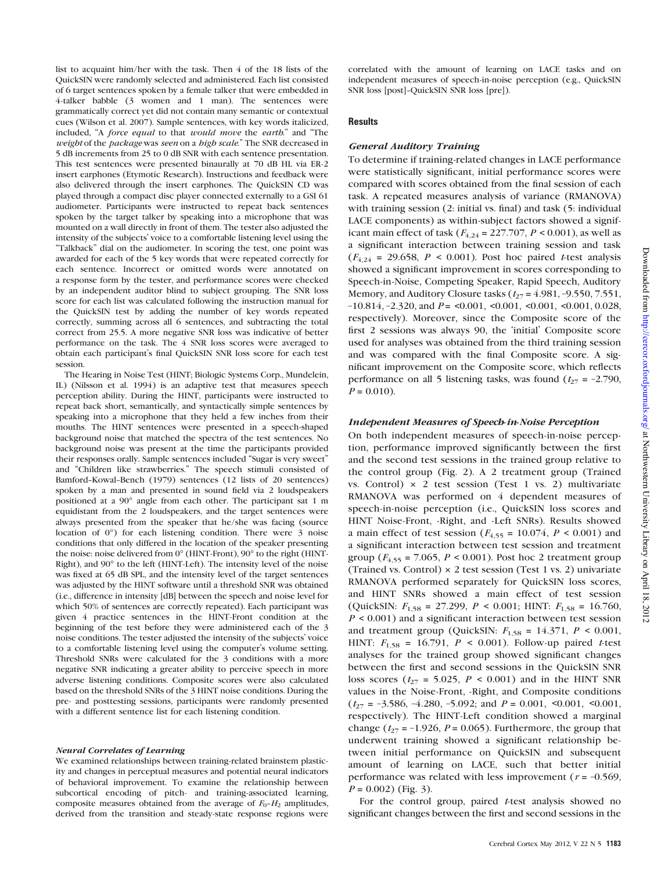list to acquaint him/her with the task. Then 4 of the 18 lists of the QuickSIN were randomly selected and administered. Each list consisted of 6 target sentences spoken by a female talker that were embedded in 4-talker babble (3 women and 1 man). The sentences were grammatically correct yet did not contain many semantic or contextual cues (Wilson et al. 2007). Sample sentences, with key words italicized, included, "A force equal to that would move the earth." and "The weight of the package was seen on a high scale.'' The SNR decreased in 5 dB increments from 25 to 0 dB SNR with each sentence presentation. This test sentences were presented binaurally at 70 dB HL via ER-2 insert earphones (Etymotic Research). Instructions and feedback were also delivered through the insert earphones. The QuickSIN CD was played through a compact disc player connected externally to a GSI 61 audiometer. Participants were instructed to repeat back sentences spoken by the target talker by speaking into a microphone that was mounted on a wall directly in front of them. The tester also adjusted the intensity of the subjects' voice to a comfortable listening level using the ''Talkback'' dial on the audiometer. In scoring the test, one point was awarded for each of the 5 key words that were repeated correctly for each sentence. Incorrect or omitted words were annotated on a response form by the tester, and performance scores were checked by an independent auditor blind to subject grouping. The SNR loss score for each list was calculated following the instruction manual for the QuickSIN test by adding the number of key words repeated correctly, summing across all 6 sentences, and subtracting the total correct from 25.5. A more negative SNR loss was indicative of better performance on the task. The 4 SNR loss scores were averaged to obtain each participant's final QuickSIN SNR loss score for each test session.

The Hearing in Noise Test (HINT; Biologic Systems Corp., Mundelein, IL) (Nilsson et al. 1994) is an adaptive test that measures speech perception ability. During the HINT, participants were instructed to repeat back short, semantically, and syntactically simple sentences by speaking into a microphone that they held a few inches from their mouths. The HINT sentences were presented in a speech-shaped background noise that matched the spectra of the test sentences. No background noise was present at the time the participants provided their responses orally. Sample sentences included ''Sugar is very sweet'' and ''Children like strawberries.'' The speech stimuli consisted of Bamford-Kowal-Bench (1979) sentences (12 lists of 20 sentences) spoken by a man and presented in sound field via 2 loudspeakers positioned at a 90° angle from each other. The participant sat 1 m equidistant from the 2 loudspeakers, and the target sentences were always presented from the speaker that he/she was facing (source location of  $0^{\circ}$ ) for each listening condition. There were 3 noise conditions that only differed in the location of the speaker presenting the noise: noise delivered from 0° (HINT-Front), 90° to the right (HINT-Right), and 90" to the left (HINT-Left). The intensity level of the noise was fixed at 65 dB SPL, and the intensity level of the target sentences was adjusted by the HINT software until a threshold SNR was obtained (i.e., difference in intensity [dB] between the speech and noise level for which 50% of sentences are correctly repeated). Each participant was given 4 practice sentences in the HINT-Front condition at the beginning of the test before they were administered each of the 3 noise conditions. The tester adjusted the intensity of the subjects' voice to a comfortable listening level using the computer's volume setting. Threshold SNRs were calculated for the 3 conditions with a more negative SNR indicating a greater ability to perceive speech in more adverse listening conditions. Composite scores were also calculated based on the threshold SNRs of the 3 HINT noise conditions. During the pre- and posttesting sessions, participants were randomly presented with a different sentence list for each listening condition.

## Neural Correlates of Learning

We examined relationships between training-related brainstem plasticity and changes in perceptual measures and potential neural indicators of behavioral improvement. To examine the relationship between subcortical encoding of pitch- and training-associated learning, composite measures obtained from the average of  $F_0-H_2$  amplitudes, derived from the transition and steady-state response regions were correlated with the amount of learning on LACE tasks and on independent measures of speech-in-noise perception (e.g., QuickSIN SNR loss [post]-QuickSIN SNR loss [pre]).

# **Results**

# General Auditory Training

To determine if training-related changes in LACE performance were statistically significant, initial performance scores were compared with scores obtained from the final session of each task. A repeated measures analysis of variance (RMANOVA) with training session (2: initial vs. final) and task (5: individual LACE components) as within-subject factors showed a significant main effect of task ( $F_{4,24} = 227.707, P \le 0.001$ ), as well as a significant interaction between training session and task  $(F_{4,24} = 29.658, P \le 0.001)$ . Post hoc paired *t*-test analysis showed a significant improvement in scores corresponding to Speech-in-Noise, Competing Speaker, Rapid Speech, Auditory Memory, and Auditory Closure tasks ( $t_{27}$  = 4.981, -9.550, 7.551,  $-10.814$ ,  $-2.320$ , and  $P = \langle 0.001, \langle 0.001, \langle 0.001, \langle 0.001, 0.028, \langle 0.001, \langle 0.001, \langle 0.001, \langle 0.001, \langle 0.001, \langle 0.001, \langle 0.001, \langle 0.001, \langle 0.001, \langle 0.001, \langle 0.001, \langle 0.001, \langle 0.001, \langle 0.001, \langle 0.001, \langle 0.001, \langle 0.0$ respectively). Moreover, since the Composite score of the first 2 sessions was always 90, the 'initial' Composite score used for analyses was obtained from the third training session and was compared with the final Composite score. A significant improvement on the Composite score, which reflects performance on all 5 listening tasks, was found  $(t_{27} = -2.790,$  $P = 0.010$ ).

## Independent Measures of Speech-in-Noise Perception

On both independent measures of speech-in-noise perception, performance improved significantly between the first and the second test sessions in the trained group relative to the control group (Fig. 2). A 2 treatment group (Trained vs. Control)  $\times$  2 test session (Test 1 vs. 2) multivariate RMANOVA was performed on 4 dependent measures of speech-in-noise perception (i.e., QuickSIN loss scores and HINT Noise-Front, -Right, and -Left SNRs). Results showed a main effect of test session  $(F_{4,55} = 10.074, P \le 0.001)$  and a significant interaction between test session and treatment group ( $F_{4,55}$  = 7.065,  $P < 0.001$ ). Post hoc 2 treatment group (Trained vs. Control)  $\times$  2 test session (Test 1 vs. 2) univariate RMANOVA performed separately for QuickSIN loss scores, and HINT SNRs showed a main effect of test session (QuickSIN:  $F_{1,58} = 27.299$ ,  $P < 0.001$ ; HINT:  $F_{1,58} = 16.760$ ,  $P < 0.001$ ) and a significant interaction between test session and treatment group (QuickSIN:  $F_{1,58} = 14.371$ ,  $P < 0.001$ , HINT:  $F_{1,58} = 16.791$ ,  $P < 0.001$ ). Follow-up paired t-test analyses for the trained group showed significant changes between the first and second sessions in the QuickSIN SNR loss scores ( $t_{27}$  = 5.025,  $P < 0.001$ ) and in the HINT SNR values in the Noise-Front, -Right, and Composite conditions  $(t_{27} = -3.586, -4.280, -5.092;$  and  $P = 0.001, <0.001, <0.001$ , respectively). The HINT-Left condition showed a marginal change ( $t_{27}$  = -1.926, P = 0.065). Furthermore, the group that underwent training showed a significant relationship between initial performance on QuickSIN and subsequent amount of learning on LACE, such that better initial performance was related with less improvement ( $r = -0.569$ ,  $P = 0.002$ ) (Fig. 3).

For the control group, paired t-test analysis showed no significant changes between the first and second sessions in the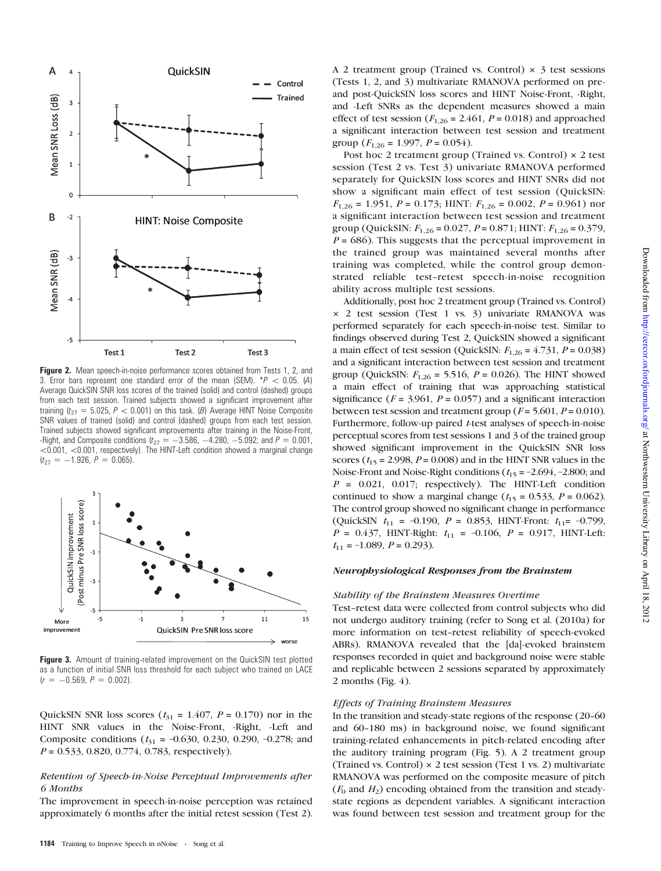

Figure 2. Mean speech-in-noise performance scores obtained from Tests 1, 2, and 3. Error bars represent one standard error of the mean (SEM).  $*P < 0.05$ . (A) Average QuickSIN SNR loss scores of the trained (solid) and control (dashed) groups from each test session. Trained subjects showed a significant improvement after training ( $t_{27} = 5.025$ ,  $P < 0.001$ ) on this task. (B) Average HINT Noise Composite SNR values of trained (solid) and control (dashed) groups from each test session. Trained subjects showed significant improvements after training in the Noise-Front, -Right, and Composite conditions ( $t_{27} = -3.586$ ,  $-4.280$ ,  $-5.092$ ; and  $P = 0.001$ ,  $\langle 0.001, \langle 0.001, \text{ respectively} \rangle$ . The HINT-Left condition showed a marginal change  $(t_{27} = -1.926, P = 0.065).$ 



Figure 3. Amount of training-related improvement on the QuickSIN test plotted as a function of initial SNR loss threshold for each subject who trained on LACE  $(r = -0.569, P = 0.002)$ .

QuickSIN SNR loss scores ( $t_{31} = 1.407$ ,  $P = 0.170$ ) nor in the HINT SNR values in the Noise-Front, -Right, -Left and Composite conditions ( $t_{31}$  = -0.630, 0.230, 0.290, -0.278; and  $P = 0.533, 0.820, 0.774, 0.783$ , respectively).

# Retention of Speech-in-Noise Perceptual Improvements after 6 Months

The improvement in speech-in-noise perception was retained approximately 6 months after the initial retest session (Test 2). A 2 treatment group (Trained vs. Control)  $\times$  3 test sessions (Tests 1, 2, and 3) multivariate RMANOVA performed on preand post-QuickSIN loss scores and HINT Noise-Front, -Right, and -Left SNRs as the dependent measures showed a main effect of test session ( $F_{1,26}$  = 2.461,  $P = 0.018$ ) and approached a significant interaction between test session and treatment group ( $F_{1,26}$  = 1.997,  $P = 0.054$ ).

Post hoc 2 treatment group (Trained vs. Control)  $\times$  2 test session (Test 2 vs. Test 3) univariate RMANOVA performed separately for QuickSIN loss scores and HINT SNRs did not show a significant main effect of test session (QuickSIN:  $F_{1,26} = 1.951$ ,  $P = 0.173$ ; HINT:  $F_{1,26} = 0.002$ ,  $P = 0.961$ ) nor a significant interaction between test session and treatment group (QuickSIN:  $F_{1,26} = 0.027$ ,  $P = 0.871$ ; HINT:  $F_{1,26} = 0.379$ ,  $P = 686$ ). This suggests that the perceptual improvement in the trained group was maintained several months after training was completed, while the control group demonstrated reliable test--retest speech-in-noise recognition ability across multiple test sessions.

Additionally, post hoc 2 treatment group (Trained vs. Control) 3 2 test session (Test 1 vs. 3) univariate RMANOVA was performed separately for each speech-in-noise test. Similar to findings observed during Test 2, QuickSIN showed a significant a main effect of test session (QuickSIN:  $F_{1,26} = 4.731$ ,  $P = 0.038$ ) and a significant interaction between test session and treatment group (QuickSIN:  $F_{1,26} = 5.516$ ,  $P = 0.026$ ). The HINT showed a main effect of training that was approaching statistical significance ( $F = 3.961$ ,  $P = 0.057$ ) and a significant interaction between test session and treatment group ( $F = 5.601$ ,  $P = 0.010$ ). Furthermore, follow-up paired *t*-test analyses of speech-in-noise perceptual scores from test sessions 1 and 3 of the trained group showed significant improvement in the QuickSIN SNR loss scores ( $t_{15}$  = 2.998,  $P = 0.008$ ) and in the HINT SNR values in the Noise-Front and Noise-Right conditions  $(t_{15} = -2.694, -2.800;$  and  $P = 0.021, 0.017$ ; respectively). The HINT-Left condition continued to show a marginal change ( $t_{15} = 0.533$ ,  $P = 0.062$ ). The control group showed no significant change in performance (QuickSIN  $t_{11} = -0.190$ ,  $P = 0.853$ , HINT-Front:  $t_{11} = -0.799$ ,  $P = 0.437$ , HINT-Right:  $t_{11} = -0.106$ ,  $P = 0.917$ , HINT-Left:  $t_{11} = -1.089$ ,  $P = 0.293$ ).

## Neurophysiological Responses from the Brainstem

## Stability of the Brainstem Measures Overtime

Test--retest data were collected from control subjects who did not undergo auditory training (refer to Song et al. (2010a) for more information on test--retest reliability of speech-evoked ABRs). RMANOVA revealed that the [da]-evoked brainstem responses recorded in quiet and background noise were stable and replicable between 2 sessions separated by approximately 2 months (Fig. 4).

## Effects of Training Brainstem Measures

In the transition and steady-state regions of the response (20–60) and 60-180 ms) in background noise, we found significant training-related enhancements in pitch-related encoding after the auditory training program (Fig. 5). A 2 treatment group (Trained vs. Control)  $\times$  2 test session (Test 1 vs. 2) multivariate RMANOVA was performed on the composite measure of pitch  $(F_0$  and  $H_2)$  encoding obtained from the transition and steadystate regions as dependent variables. A significant interaction was found between test session and treatment group for the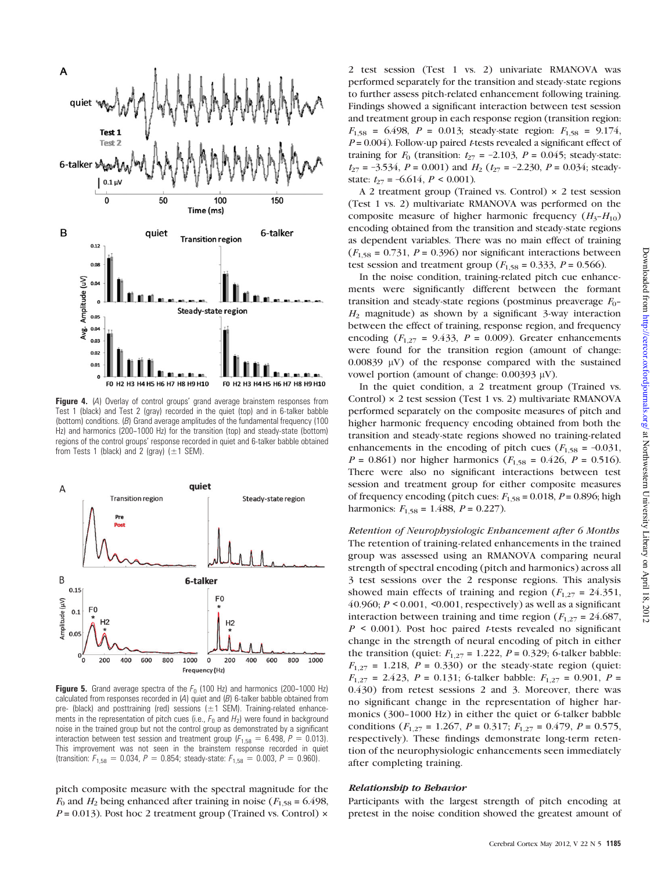

Figure 4. (A) Overlay of control groups' grand average brainstem responses from Test 1 (black) and Test 2 (gray) recorded in the quiet (top) and in 6-talker babble (bottom) conditions. (B) Grand average amplitudes of the fundamental frequency (100 Hz) and harmonics (200-1000 Hz) for the transition (top) and steady-state (bottom) regions of the control groups' response recorded in quiet and 6-talker babble obtained from Tests 1 (black) and 2 (gray)  $(\pm 1 \text{ SEM})$ .



Figure 5. Grand average spectra of the  $F_0$  (100 Hz) and harmonics (200-1000 Hz) calculated from responses recorded in  $(A)$  quiet and  $(B)$  6-talker babble obtained from pre- (black) and posttraining (red) sessions  $(\pm 1 \text{ SEM})$ . Training-related enhancements in the representation of pitch cues (i.e.,  $F_0$  and  $H_2$ ) were found in background noise in the trained group but not the control group as demonstrated by a significant interaction between test session and treatment group ( $F_{1,58} = 6.498$ ,  $P = 0.013$ ). This improvement was not seen in the brainstem response recorded in quiet (transition:  $F_{1,58} = 0.034$ ,  $P = 0.854$ ; steady-state:  $F_{1,58} = 0.003$ ,  $P = 0.960$ ).

pitch composite measure with the spectral magnitude for the  $F_0$  and  $H_2$  being enhanced after training in noise ( $F_{1,58}$  = 6.498,  $P = 0.013$ ). Post hoc 2 treatment group (Trained vs. Control)  $\times$ 

2 test session (Test 1 vs. 2) univariate RMANOVA was performed separately for the transition and steady-state regions to further assess pitch-related enhancement following training. Findings showed a significant interaction between test session and treatment group in each response region (transition region:  $F_{1,58} = 6.498$ ,  $P = 0.013$ ; steady-state region:  $F_{1,58} = 9.174$ ,  $P = 0.004$ ). Follow-up paired *t*-tests revealed a significant effect of training for  $F_0$  (transition:  $t_{27} = -2.103$ ,  $P = 0.045$ ; steady-state:  $t_{27} = -3.534$ ,  $P = 0.001$ ) and  $H_2$  ( $t_{27} = -2.230$ ,  $P = 0.034$ ; steadystate:  $t_{27} = -6.614$ ,  $P \le 0.001$ ).

A 2 treatment group (Trained vs. Control)  $\times$  2 test session (Test 1 vs. 2) multivariate RMANOVA was performed on the composite measure of higher harmonic frequency  $(H_3-H_{10})$ encoding obtained from the transition and steady-state regions as dependent variables. There was no main effect of training  $(F_{1,58} = 0.731, P = 0.396)$  nor significant interactions between test session and treatment group ( $F_{1,58} = 0.333$ ,  $P = 0.566$ ).

In the noise condition, training-related pitch cue enhancements were significantly different between the formant transition and steady-state regions (postminus preaverage  $F_0$ - $H_2$  magnitude) as shown by a significant 3-way interaction between the effect of training, response region, and frequency encoding  $(F_{1,27} = 9.433, P = 0.009)$ . Greater enhancements were found for the transition region (amount of change: 0.00839  $\mu$ V) of the response compared with the sustained vowel portion (amount of change:  $0.00393 \mu V$ ).

In the quiet condition, a 2 treatment group (Trained vs. Control)  $\times$  2 test session (Test 1 vs. 2) multivariate RMANOVA performed separately on the composite measures of pitch and higher harmonic frequency encoding obtained from both the transition and steady-state regions showed no training-related enhancements in the encoding of pitch cues ( $F_{1,58} = -0.031$ ,  $P = 0.861$ ) nor higher harmonics ( $F_{1,58} = 0.426$ ,  $P = 0.516$ ). There were also no significant interactions between test session and treatment group for either composite measures of frequency encoding (pitch cues:  $F_{1,58} = 0.018$ ,  $P = 0.896$ ; high harmonics:  $F_{1,58} = 1.488$ ,  $P = 0.227$ ).

Retention of Neurophysiologic Enhancement after 6 Months The retention of training-related enhancements in the trained group was assessed using an RMANOVA comparing neural strength of spectral encoding (pitch and harmonics) across all 3 test sessions over the 2 response regions. This analysis showed main effects of training and region ( $F_{1,27} = 24.351$ , 40.960;  $P \le 0.001$ ,  $\le 0.001$ , respectively) as well as a significant interaction between training and time region ( $F_{1,27} = 24.687$ ,  $P \leq 0.001$ ). Post hoc paired *t*-tests revealed no significant change in the strength of neural encoding of pitch in either the transition (quiet:  $F_{1,27} = 1.222$ ,  $P = 0.329$ ; 6-talker babble:  $F_{1,27}$  = 1.218,  $P = 0.330$ ) or the steady-state region (quiet:  $F_{1,27} = 2.423$ ,  $P = 0.131$ ; 6-talker babble:  $F_{1,27} = 0.901$ ,  $P =$ 0.430) from retest sessions 2 and 3. Moreover, there was no significant change in the representation of higher harmonics (300-1000 Hz) in either the quiet or 6-talker babble conditions ( $F_{1,27} = 1.267$ ,  $P = 0.317$ ;  $F_{1,27} = 0.479$ ,  $P = 0.575$ , respectively). These findings demonstrate long-term retention of the neurophysiologic enhancements seen immediately after completing training.

# Relationship to Behavior

Participants with the largest strength of pitch encoding at pretest in the noise condition showed the greatest amount of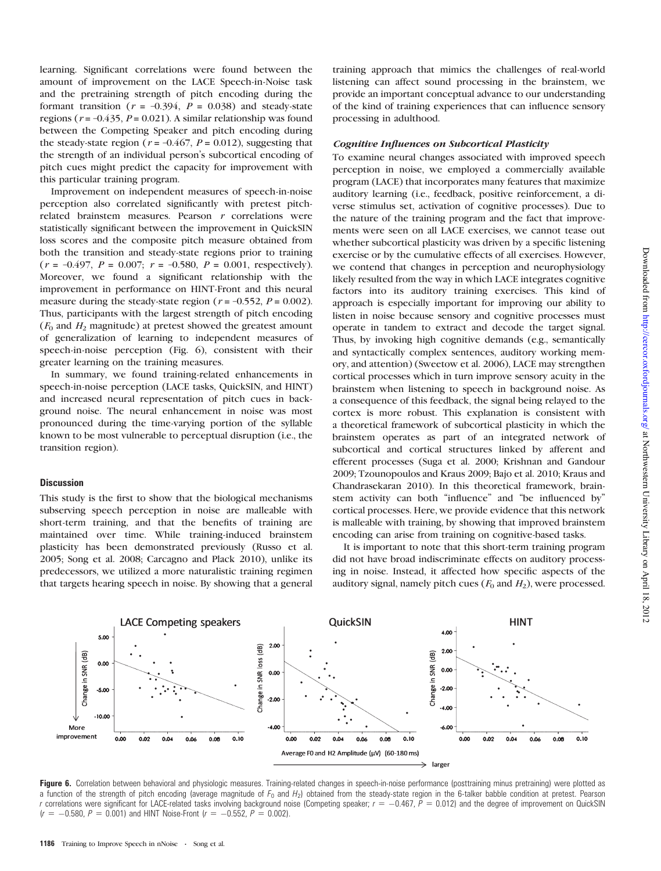learning. Significant correlations were found between the amount of improvement on the LACE Speech-in-Noise task and the pretraining strength of pitch encoding during the formant transition ( $r = -0.394$ ,  $P = 0.038$ ) and steady-state regions ( $r = -0.435$ ,  $P = 0.021$ ). A similar relationship was found between the Competing Speaker and pitch encoding during the steady-state region ( $r = -0.467$ ,  $P = 0.012$ ), suggesting that the strength of an individual person's subcortical encoding of pitch cues might predict the capacity for improvement with this particular training program.

Improvement on independent measures of speech-in-noise perception also correlated significantly with pretest pitchrelated brainstem measures. Pearson r correlations were statistically significant between the improvement in QuickSIN loss scores and the composite pitch measure obtained from both the transition and steady-state regions prior to training  $(r = -0.497, P = 0.007; r = -0.580, P = 0.001$ , respectively). Moreover, we found a significant relationship with the improvement in performance on HINT-Front and this neural measure during the steady-state region ( $r = -0.552$ ,  $P = 0.002$ ). Thus, participants with the largest strength of pitch encoding  $(F_0$  and  $H_2$  magnitude) at pretest showed the greatest amount of generalization of learning to independent measures of speech-in-noise perception (Fig. 6), consistent with their greater learning on the training measures.

In summary, we found training-related enhancements in speech-in-noise perception (LACE tasks, QuickSIN, and HINT) and increased neural representation of pitch cues in background noise. The neural enhancement in noise was most pronounced during the time-varying portion of the syllable known to be most vulnerable to perceptual disruption (i.e., the transition region).

### **Discussion**

This study is the first to show that the biological mechanisms subserving speech perception in noise are malleable with short-term training, and that the benefits of training are maintained over time. While training-induced brainstem plasticity has been demonstrated previously (Russo et al. 2005; Song et al. 2008; Carcagno and Plack 2010), unlike its predecessors, we utilized a more naturalistic training regimen that targets hearing speech in noise. By showing that a general training approach that mimics the challenges of real-world listening can affect sound processing in the brainstem, we provide an important conceptual advance to our understanding of the kind of training experiences that can influence sensory processing in adulthood.

#### Cognitive Influences on Subcortical Plasticity

To examine neural changes associated with improved speech perception in noise, we employed a commercially available program (LACE) that incorporates many features that maximize auditory learning (i.e., feedback, positive reinforcement, a diverse stimulus set, activation of cognitive processes). Due to the nature of the training program and the fact that improvements were seen on all LACE exercises, we cannot tease out whether subcortical plasticity was driven by a specific listening exercise or by the cumulative effects of all exercises. However, we contend that changes in perception and neurophysiology likely resulted from the way in which LACE integrates cognitive factors into its auditory training exercises. This kind of approach is especially important for improving our ability to listen in noise because sensory and cognitive processes must operate in tandem to extract and decode the target signal. Thus, by invoking high cognitive demands (e.g., semantically and syntactically complex sentences, auditory working memory, and attention) (Sweetow et al. 2006), LACE may strengthen cortical processes which in turn improve sensory acuity in the brainstem when listening to speech in background noise. As a consequence of this feedback, the signal being relayed to the cortex is more robust. This explanation is consistent with a theoretical framework of subcortical plasticity in which the brainstem operates as part of an integrated network of subcortical and cortical structures linked by afferent and efferent processes (Suga et al. 2000; Krishnan and Gandour 2009; Tzounopoulos and Kraus 2009; Bajo et al. 2010; Kraus and Chandrasekaran 2010). In this theoretical framework, brainstem activity can both ''influence'' and ''be influenced by'' cortical processes. Here, we provide evidence that this network is malleable with training, by showing that improved brainstem encoding can arise from training on cognitive-based tasks.

It is important to note that this short-term training program did not have broad indiscriminate effects on auditory processing in noise. Instead, it affected how specific aspects of the auditory signal, namely pitch cues  $(F_0 \text{ and } H_2)$ , were processed.



Figure 6. Correlation between behavioral and physiologic measures. Training-related changes in speech-in-noise performance (posttraining minus pretraining) were plotted as a function of the strength of pitch encoding (average magnitude of  $F_0$  and  $H_2$ ) obtained from the steady-state region in the 6-talker babble condition at pretest. Pearson r correlations were significant for LACE-related tasks involving background noise (Competing speaker;  $r = -0.467$ ,  $P = 0.012$ ) and the degree of improvement on QuickSIN  $(r = -0.580, P = 0.001)$  and HINT Noise-Front  $(r = -0.552, P = 0.002)$ .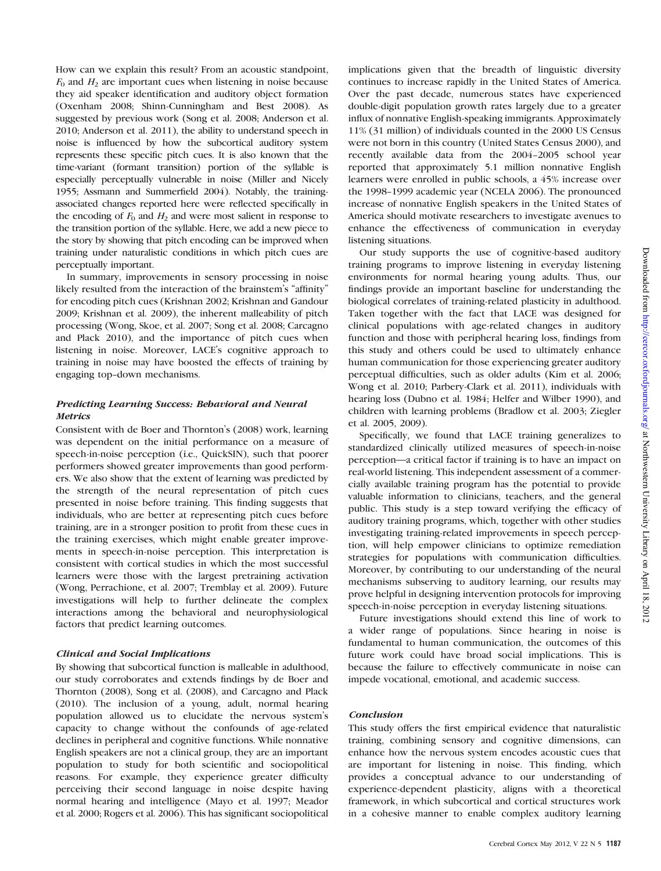How can we explain this result? From an acoustic standpoint,  $F_0$  and  $H_2$  are important cues when listening in noise because they aid speaker identification and auditory object formation (Oxenham 2008; Shinn-Cunningham and Best 2008). As suggested by previous work (Song et al. 2008; Anderson et al. 2010; Anderson et al. 2011), the ability to understand speech in noise is influenced by how the subcortical auditory system represents these specific pitch cues. It is also known that the time-variant (formant transition) portion of the syllable is especially perceptually vulnerable in noise (Miller and Nicely 1955; Assmann and Summerfield 2004). Notably, the trainingassociated changes reported here were reflected specifically in the encoding of  $F_0$  and  $H_2$  and were most salient in response to the transition portion of the syllable. Here, we add a new piece to the story by showing that pitch encoding can be improved when training under naturalistic conditions in which pitch cues are perceptually important.

In summary, improvements in sensory processing in noise likely resulted from the interaction of the brainstem's ''affinity'' for encoding pitch cues (Krishnan 2002; Krishnan and Gandour 2009; Krishnan et al. 2009), the inherent malleability of pitch processing (Wong, Skoe, et al. 2007; Song et al. 2008; Carcagno and Plack 2010), and the importance of pitch cues when listening in noise. Moreover, LACE's cognitive approach to training in noise may have boosted the effects of training by engaging top-down mechanisms.

# Predicting Learning Success: Behavioral and Neural **Metrics**

Consistent with de Boer and Thornton's (2008) work, learning was dependent on the initial performance on a measure of speech-in-noise perception (i.e., QuickSIN), such that poorer performers showed greater improvements than good performers. We also show that the extent of learning was predicted by the strength of the neural representation of pitch cues presented in noise before training. This finding suggests that individuals, who are better at representing pitch cues before training, are in a stronger position to profit from these cues in the training exercises, which might enable greater improvements in speech-in-noise perception. This interpretation is consistent with cortical studies in which the most successful learners were those with the largest pretraining activation (Wong, Perrachione, et al. 2007; Tremblay et al. 2009). Future investigations will help to further delineate the complex interactions among the behavioral and neurophysiological factors that predict learning outcomes.

## Clinical and Social Implications

By showing that subcortical function is malleable in adulthood, our study corroborates and extends findings by de Boer and Thornton (2008), Song et al. (2008), and Carcagno and Plack (2010). The inclusion of a young, adult, normal hearing population allowed us to elucidate the nervous system's capacity to change without the confounds of age-related declines in peripheral and cognitive functions. While nonnative English speakers are not a clinical group, they are an important population to study for both scientific and sociopolitical reasons. For example, they experience greater difficulty perceiving their second language in noise despite having normal hearing and intelligence (Mayo et al. 1997; Meador et al. 2000; Rogers et al. 2006). This has significant sociopolitical

implications given that the breadth of linguistic diversity continues to increase rapidly in the United States of America. Over the past decade, numerous states have experienced double-digit population growth rates largely due to a greater influx of nonnative English-speaking immigrants. Approximately 11% (31 million) of individuals counted in the 2000 US Census were not born in this country (United States Census 2000), and recently available data from the 2004-2005 school year reported that approximately 5.1 million nonnative English learners were enrolled in public schools, a 45% increase over the 1998-1999 academic year (NCELA 2006). The pronounced increase of nonnative English speakers in the United States of America should motivate researchers to investigate avenues to enhance the effectiveness of communication in everyday listening situations.

Our study supports the use of cognitive-based auditory training programs to improve listening in everyday listening environments for normal hearing young adults. Thus, our findings provide an important baseline for understanding the biological correlates of training-related plasticity in adulthood. Taken together with the fact that LACE was designed for clinical populations with age-related changes in auditory function and those with peripheral hearing loss, findings from this study and others could be used to ultimately enhance human communication for those experiencing greater auditory perceptual difficulties, such as older adults (Kim et al. 2006; Wong et al. 2010; Parbery-Clark et al. 2011), individuals with hearing loss (Dubno et al. 1984; Helfer and Wilber 1990), and children with learning problems (Bradlow et al. 2003; Ziegler et al. 2005, 2009).

Specifically, we found that LACE training generalizes to standardized clinically utilized measures of speech-in-noise perception—a critical factor if training is to have an impact on real-world listening. This independent assessment of a commercially available training program has the potential to provide valuable information to clinicians, teachers, and the general public. This study is a step toward verifying the efficacy of auditory training programs, which, together with other studies investigating training-related improvements in speech perception, will help empower clinicians to optimize remediation strategies for populations with communication difficulties. Moreover, by contributing to our understanding of the neural mechanisms subserving to auditory learning, our results may prove helpful in designing intervention protocols for improving speech-in-noise perception in everyday listening situations.

Future investigations should extend this line of work to a wider range of populations. Since hearing in noise is fundamental to human communication, the outcomes of this future work could have broad social implications. This is because the failure to effectively communicate in noise can impede vocational, emotional, and academic success.

## **Conclusion**

This study offers the first empirical evidence that naturalistic training, combining sensory and cognitive dimensions, can enhance how the nervous system encodes acoustic cues that are important for listening in noise. This finding, which provides a conceptual advance to our understanding of experience-dependent plasticity, aligns with a theoretical framework, in which subcortical and cortical structures work in a cohesive manner to enable complex auditory learning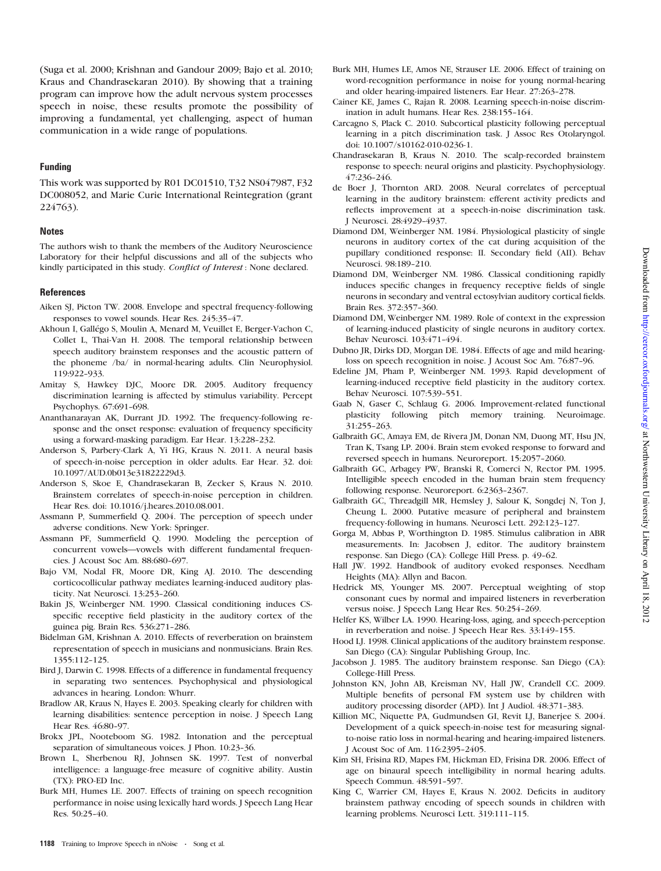(Suga et al. 2000; Krishnan and Gandour 2009; Bajo et al. 2010; Kraus and Chandrasekaran 2010). By showing that a training program can improve how the adult nervous system processes speech in noise, these results promote the possibility of improving a fundamental, yet challenging, aspect of human communication in a wide range of populations.

## Funding

This work was supported by R01 DC01510, T32 NS047987, F32 DC008052, and Marie Curie International Reintegration (grant 224763).

## **Notes**

The authors wish to thank the members of the Auditory Neuroscience Laboratory for their helpful discussions and all of the subjects who kindly participated in this study. Conflict of Interest : None declared.

## **References**

- Aiken SJ, Picton TW. 2008. Envelope and spectral frequency-following responses to vowel sounds. Hear Res. 245:35-47.
- Akhoun I, Gallégo S, Moulin A, Menard M, Veuillet E, Berger-Vachon C, Collet L, Thai-Van H. 2008. The temporal relationship between speech auditory brainstem responses and the acoustic pattern of the phoneme /ba/ in normal-hearing adults. Clin Neurophysiol. 119:922-933.
- Amitay S, Hawkey DJC, Moore DR. 2005. Auditory frequency discrimination learning is affected by stimulus variability. Percept Psychophys. 67:691-698.
- Ananthanarayan AK, Durrant JD. 1992. The frequency-following response and the onset response: evaluation of frequency specificity using a forward-masking paradigm. Ear Hear. 13:228-232.
- Anderson S, Parbery-Clark A, Yi HG, Kraus N. 2011. A neural basis of speech-in-noise perception in older adults. Ear Hear. 32. doi: 10.1097/AUD.0b013e31822229d3.
- Anderson S, Skoe E, Chandrasekaran B, Zecker S, Kraus N. 2010. Brainstem correlates of speech-in-noise perception in children. Hear Res. doi: 10.1016/j.heares.2010.08.001.
- Assmann P, Summerfield Q. 2004. The perception of speech under adverse conditions. New York: Springer.
- Assmann PF, Summerfield Q. 1990. Modeling the perception of concurrent vowels—vowels with different fundamental frequencies. J Acoust Soc Am. 88:680-697.
- Bajo VM, Nodal FR, Moore DR, King AJ. 2010. The descending corticocollicular pathway mediates learning-induced auditory plasticity. Nat Neurosci. 13:253-260.
- Bakin JS, Weinberger NM. 1990. Classical conditioning induces CSspecific receptive field plasticity in the auditory cortex of the guinea pig. Brain Res. 536:271-286.
- Bidelman GM, Krishnan A. 2010. Effects of reverberation on brainstem representation of speech in musicians and nonmusicians. Brain Res. 1355:112--125.
- Bird J, Darwin C. 1998. Effects of a difference in fundamental frequency in separating two sentences. Psychophysical and physiological advances in hearing. London: Whurr.
- Bradlow AR, Kraus N, Hayes E. 2003. Speaking clearly for children with learning disabilities: sentence perception in noise. J Speech Lang Hear Res. 46:80-97.
- Brokx JPL, Nooteboom SG. 1982. Intonation and the perceptual separation of simultaneous voices. J Phon. 10:23-36.
- Brown L, Sherbenou RJ, Johnsen SK. 1997. Test of nonverbal intelligence: a language-free measure of cognitive ability. Austin (TX): PRO-ED Inc.
- Burk MH, Humes LE. 2007. Effects of training on speech recognition performance in noise using lexically hard words. J Speech Lang Hear Res. 50:25-40.
- Burk MH, Humes LE, Amos NE, Strauser LE. 2006. Effect of training on word-recognition performance in noise for young normal-hearing and older hearing-impaired listeners. Ear Hear. 27:263-278.
- Cainer KE, James C, Rajan R. 2008. Learning speech-in-noise discrimination in adult humans. Hear Res. 238:155-164.
- Carcagno S, Plack C. 2010. Subcortical plasticity following perceptual learning in a pitch discrimination task. J Assoc Res Otolaryngol. doi: 10.1007/s10162-010-0236-1.
- Chandrasekaran B, Kraus N. 2010. The scalp-recorded brainstem response to speech: neural origins and plasticity. Psychophysiology. 47:236-246.
- de Boer J, Thornton ARD. 2008. Neural correlates of perceptual learning in the auditory brainstem: efferent activity predicts and reflects improvement at a speech-in-noise discrimination task. J Neurosci. 28:4929-4937.
- Diamond DM, Weinberger NM. 1984. Physiological plasticity of single neurons in auditory cortex of the cat during acquisition of the pupillary conditioned response: II. Secondary field (AII). Behav Neurosci. 98:189-210.
- Diamond DM, Weinberger NM. 1986. Classical conditioning rapidly induces specific changes in frequency receptive fields of single neurons in secondary and ventral ectosylvian auditory cortical fields. Brain Res. 372:357-360.
- Diamond DM, Weinberger NM. 1989. Role of context in the expression of learning-induced plasticity of single neurons in auditory cortex. Behav Neurosci. 103:471-494.
- Dubno JR, Dirks DD, Morgan DE. 1984. Effects of age and mild hearingloss on speech recognition in noise. J Acoust Soc Am. 76:87-96.
- Edeline JM, Pham P, Weinberger NM. 1993. Rapid development of learning-induced receptive field plasticity in the auditory cortex. Behav Neurosci. 107:539-551.
- Gaab N, Gaser C, Schlaug G. 2006. Improvement-related functional plasticity following pitch memory training. Neuroimage. 31:255-263.
- Galbraith GC, Amaya EM, de Rivera JM, Donan NM, Duong MT, Hsu JN, Tran K, Tsang LP. 2004. Brain stem evoked response to forward and reversed speech in humans. Neuroreport. 15:2057-2060.
- Galbraith GC, Arbagey PW, Branski R, Comerci N, Rector PM. 1995. Intelligible speech encoded in the human brain stem frequency following response. Neuroreport. 6:2363-2367.
- Galbraith GC, Threadgill MR, Hemsley J, Salour K, Songdej N, Ton J, Cheung L. 2000. Putative measure of peripheral and brainstem frequency-following in humans. Neurosci Lett. 292:123-127.
- Gorga M, Abbas P, Worthington D. 1985. Stimulus calibration in ABR measurements. In: Jacobsen J, editor. The auditory brainstem response. San Diego (CA): College Hill Press. p. 49-62.
- Hall JW. 1992. Handbook of auditory evoked responses. Needham Heights (MA): Allyn and Bacon.
- Hedrick MS, Younger MS. 2007. Perceptual weighting of stop consonant cues by normal and impaired listeners in reverberation versus noise. J Speech Lang Hear Res. 50:254-269.
- Helfer KS, Wilber LA. 1990. Hearing-loss, aging, and speech-perception in reverberation and noise. J Speech Hear Res. 33:149-155.
- Hood LJ. 1998. Clinical applications of the auditory brainstem response. San Diego (CA): Singular Publishing Group, Inc.
- Jacobson J. 1985. The auditory brainstem response. San Diego (CA): College-Hill Press.
- Johnston KN, John AB, Kreisman NV, Hall JW, Crandell CC. 2009. Multiple benefits of personal FM system use by children with auditory processing disorder (APD). Int J Audiol. 48:371-383.
- Killion MC, Niquette PA, Gudmundsen GI, Revit LJ, Banerjee S. 2004. Development of a quick speech-in-noise test for measuring signalto-noise ratio loss in normal-hearing and hearing-impaired listeners. J Acoust Soc of Am. 116:2395-2405.
- Kim SH, Frisina RD, Mapes FM, Hickman ED, Frisina DR. 2006. Effect of age on binaural speech intelligibility in normal hearing adults. Speech Commun. 48:591-597.
- King C, Warrier CM, Hayes E, Kraus N. 2002. Deficits in auditory brainstem pathway encoding of speech sounds in children with learning problems. Neurosci Lett. 319:111-115.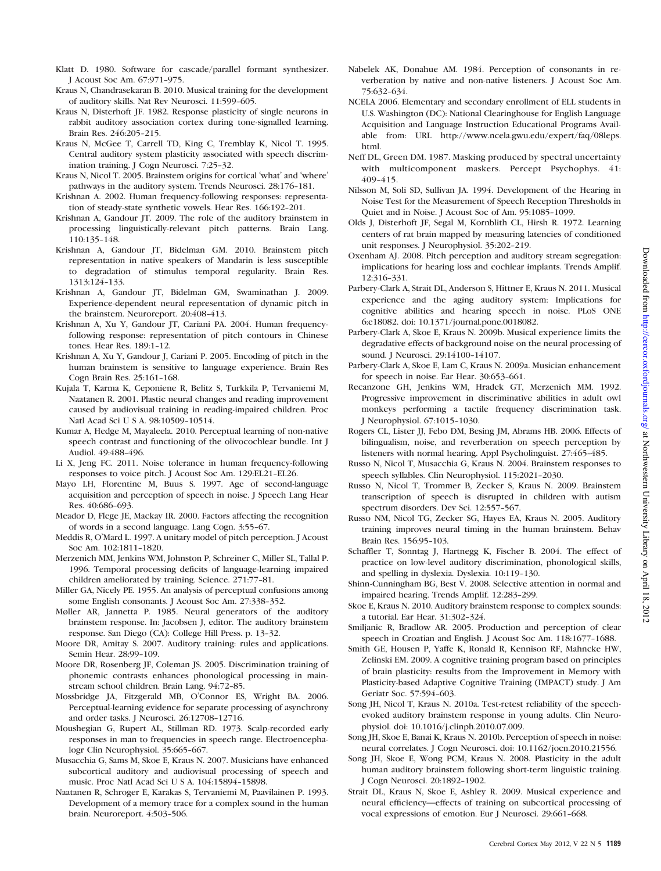- Klatt D. 1980. Software for cascade/parallel formant synthesizer. J Acoust Soc Am. 67:971-975.
- Kraus N, Chandrasekaran B. 2010. Musical training for the development of auditory skills. Nat Rev Neurosci. 11:599-605.
- Kraus N, Disterhoft JF. 1982. Response plasticity of single neurons in rabbit auditory association cortex during tone-signalled learning. Brain Res. 246:205-215.
- Kraus N, McGee T, Carrell TD, King C, Tremblay K, Nicol T. 1995. Central auditory system plasticity associated with speech discrimination training. J Cogn Neurosci. 7:25-32.
- Kraus N, Nicol T. 2005. Brainstem origins for cortical 'what' and 'where' pathways in the auditory system. Trends Neurosci. 28:176-181.
- Krishnan A. 2002. Human frequency-following responses: representation of steady-state synthetic vowels. Hear Res. 166:192-201.
- Krishnan A, Gandour JT. 2009. The role of the auditory brainstem in processing linguistically-relevant pitch patterns. Brain Lang. 110:135--148.
- Krishnan A, Gandour JT, Bidelman GM. 2010. Brainstem pitch representation in native speakers of Mandarin is less susceptible to degradation of stimulus temporal regularity. Brain Res. 1313:124--133.
- Krishnan A, Gandour JT, Bidelman GM, Swaminathan J. 2009. Experience-dependent neural representation of dynamic pitch in the brainstem. Neuroreport. 20:408-413.
- Krishnan A, Xu Y, Gandour JT, Cariani PA. 2004. Human frequencyfollowing response: representation of pitch contours in Chinese tones. Hear Res. 189:1-12.
- Krishnan A, Xu Y, Gandour J, Cariani P. 2005. Encoding of pitch in the human brainstem is sensitive to language experience. Brain Res Cogn Brain Res. 25:161-168.
- Kujala T, Karma K, Ceponiene R, Belitz S, Turkkila P, Tervaniemi M, Naatanen R. 2001. Plastic neural changes and reading improvement caused by audiovisual training in reading-impaired children. Proc Natl Acad Sci U S A. 98:10509-10514.
- Kumar A, Hedge M, Mayaleela. 2010. Perceptual learning of non-native speech contrast and functioning of the olivocochlear bundle. Int J Audiol. 49:488-496.
- Li X, Jeng FC. 2011. Noise tolerance in human frequency-following responses to voice pitch. J Acoust Soc Am. 129:EL21-EL26.
- Mayo LH, Florentine M, Buus S. 1997. Age of second-language acquisition and perception of speech in noise. J Speech Lang Hear Res. 40:686-693.
- Meador D, Flege JE, Mackay IR. 2000. Factors affecting the recognition of words in a second language. Lang Cogn. 3:55-67.
- Meddis R, O'Mard L. 1997. A unitary model of pitch perception. J Acoust Soc Am. 102:1811-1820.
- Merzenich MM, Jenkins WM, Johnston P, Schreiner C, Miller SL, Tallal P. 1996. Temporal processing deficits of language-learning impaired children ameliorated by training. Science. 271:77-81.
- Miller GA, Nicely PE. 1955. An analysis of perceptual confusions among some English consonants. J Acoust Soc Am. 27:338-352.
- Møller AR, Jannetta P. 1985. Neural generators of the auditory brainstem response. In: Jacobsen J, editor. The auditory brainstem response. San Diego (CA): College Hill Press. p. 13-32.
- Moore DR, Amitay S. 2007. Auditory training: rules and applications. Semin Hear. 28:99-109.
- Moore DR, Rosenberg JF, Coleman JS. 2005. Discrimination training of phonemic contrasts enhances phonological processing in mainstream school children. Brain Lang. 94:72-85.
- Mossbridge JA, Fitzgerald MB, O'Connor ES, Wright BA. 2006. Perceptual-learning evidence for separate processing of asynchrony and order tasks. J Neurosci. 26:12708--12716.
- Moushegian G, Rupert AL, Stillman RD. 1973. Scalp-recorded early responses in man to frequencies in speech range. Electroencephalogr Clin Neurophysiol. 35:665-667.
- Musacchia G, Sams M, Skoe E, Kraus N. 2007. Musicians have enhanced subcortical auditory and audiovisual processing of speech and music. Proc Natl Acad Sci U S A. 104:15894-15898.
- Naatanen R, Schroger E, Karakas S, Tervaniemi M, Paavilainen P. 1993. Development of a memory trace for a complex sound in the human brain. Neuroreport. 4:503-506.
- Nabelek AK, Donahue AM. 1984. Perception of consonants in reverberation by native and non-native listeners. J Acoust Soc Am. 75:632-634.
- NCELA 2006. Elementary and secondary enrollment of ELL students in U.S. Washington (DC): National Clearinghouse for English Language Acquisition and Language Instruction Educational Programs Available from: URL [http://www.ncela.gwu.edu/expert/faq/08leps.](http://www.ncela.gwu.edu/expert/faq/08leps.html) [html](http://www.ncela.gwu.edu/expert/faq/08leps.html).
- Neff DL, Green DM. 1987. Masking produced by spectral uncertainty with multicomponent maskers. Percept Psychophys. 41: 409-415.
- Nilsson M, Soli SD, Sullivan JA. 1994. Development of the Hearing in Noise Test for the Measurement of Speech Reception Thresholds in Quiet and in Noise. J Acoust Soc of Am. 95:1085-1099.
- Olds J, Disterhoft JF, Segal M, Kornblith CL, Hirsh R. 1972. Learning centers of rat brain mapped by measuring latencies of conditioned unit responses. J Neurophysiol. 35:202-219.
- Oxenham AJ. 2008. Pitch perception and auditory stream segregation: implications for hearing loss and cochlear implants. Trends Amplif. 12:316-331.
- Parbery-Clark A, Strait DL, Anderson S, Hittner E, Kraus N. 2011. Musical experience and the aging auditory system: Implications for cognitive abilities and hearing speech in noise. PLoS ONE 6:e18082. doi: 10.1371/journal.pone.0018082.
- Parbery-Clark A, Skoe E, Kraus N. 2009b. Musical experience limits the degradative effects of background noise on the neural processing of sound. J Neurosci. 29:14100-14107.
- Parbery-Clark A, Skoe E, Lam C, Kraus N. 2009a. Musician enhancement for speech in noise. Ear Hear. 30:653-661.
- Recanzone GH, Jenkins WM, Hradek GT, Merzenich MM. 1992. Progressive improvement in discriminative abilities in adult owl monkeys performing a tactile frequency discrimination task. J Neurophysiol. 67:1015--1030.
- Rogers CL, Lister JJ, Febo DM, Besing JM, Abrams HB. 2006. Effects of bilingualism, noise, and reverberation on speech perception by listeners with normal hearing. Appl Psycholinguist. 27:465-485.
- Russo N, Nicol T, Musacchia G, Kraus N. 2004. Brainstem responses to speech syllables. Clin Neurophysiol. 115:2021-2030.
- Russo N, Nicol T, Trommer B, Zecker S, Kraus N. 2009. Brainstem transcription of speech is disrupted in children with autism spectrum disorders. Dev Sci. 12:557-567.
- Russo NM, Nicol TG, Zecker SG, Hayes EA, Kraus N. 2005. Auditory training improves neural timing in the human brainstem. Behav Brain Res. 156:95-103.
- Schaffler T, Sonntag J, Hartnegg K, Fischer B. 2004. The effect of practice on low-level auditory discrimination, phonological skills, and spelling in dyslexia. Dyslexia. 10:119-130.
- Shinn-Cunningham BG, Best V. 2008. Selective attention in normal and impaired hearing. Trends Amplif. 12:283-299.
- Skoe E, Kraus N. 2010. Auditory brainstem response to complex sounds: a tutorial. Ear Hear. 31:302-324.
- Smiljanic R, Bradlow AR. 2005. Production and perception of clear speech in Croatian and English. J Acoust Soc Am. 118:1677-1688.
- Smith GE, Housen P, Yaffe K, Ronald R, Kennison RF, Mahncke HW, Zelinski EM. 2009. A cognitive training program based on principles of brain plasticity: results from the Improvement in Memory with Plasticity-based Adaptive Cognitive Training (IMPACT) study. J Am Geriatr Soc. 57:594-603.
- Song JH, Nicol T, Kraus N. 2010a. Test-retest reliability of the speechevoked auditory brainstem response in young adults. Clin Neurophysiol. doi: 10.1016/j.clinph.2010.07.009.
- Song JH, Skoe E, Banai K, Kraus N. 2010b. Perception of speech in noise: neural correlates. J Cogn Neurosci. doi: 10.1162/jocn.2010.21556.
- Song JH, Skoe E, Wong PCM, Kraus N. 2008. Plasticity in the adult human auditory brainstem following short-term linguistic training. J Cogn Neurosci. 20:1892--1902.
- Strait DL, Kraus N, Skoe E, Ashley R. 2009. Musical experience and neural efficiency—effects of training on subcortical processing of vocal expressions of emotion. Eur J Neurosci. 29:661-668.